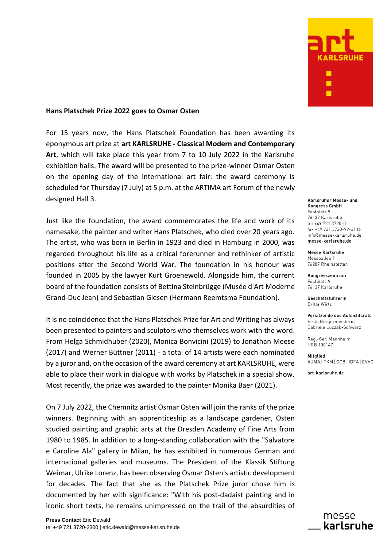

## **Hans Platschek Prize 2022 goes to Osmar Osten**

For 15 years now, the Hans Platschek Foundation has been awarding its eponymous art prize at **art KARLSRUHE - Classical Modern and Contemporary Art**, which will take place this year from 7 to 10 July 2022 in the Karlsruhe exhibition halls. The award will be presented to the prize-winner Osmar Osten on the opening day of the international art fair: the award ceremony is scheduled for Thursday (7 July) at 5 p.m. at the ARTIMA art Forum of the newly designed Hall 3.

Just like the foundation, the award commemorates the life and work of its namesake, the painter and writer Hans Platschek, who died over 20 years ago. The artist, who was born in Berlin in 1923 and died in Hamburg in 2000, was regarded throughout his life as a critical forerunner and rethinker of artistic positions after the Second World War. The foundation in his honour was founded in 2005 by the lawyer Kurt Groenewold. Alongside him, the current board of the foundation consists of Bettina Steinbrügge (Musée d'Art Moderne Grand-Duc Jean) and Sebastian Giesen (Hermann Reemtsma Foundation).

It is no coincidence that the Hans Platschek Prize for Art and Writing has always been presented to painters and sculptors who themselves work with the word. From Helga Schmidhuber (2020), Monica Bonvicini (2019) to Jonathan Meese (2017) and Werner Büttner (2011) - a total of 14 artists were each nominated by a juror and, on the occasion of the award ceremony at art KARLSRUHE, were able to place their work in dialogue with works by Platschek in a special show. Most recently, the prize was awarded to the painter Monika Baer (2021).

On 7 July 2022, the Chemnitz artist Osmar Osten will join the ranks of the prize winners. Beginning with an apprenticeship as a landscape gardener, Osten studied painting and graphic arts at the Dresden Academy of Fine Arts from 1980 to 1985. In addition to a long-standing collaboration with the "Salvatore e Caroline Ala" gallery in Milan, he has exhibited in numerous German and international galleries and museums. The President of the Klassik Stiftung Weimar, Ulrike Lorenz, has been observing Osmar Osten's artistic development for decades. The fact that she as the Platschek Prize juror chose him is documented by her with significance: "With his post-dadaist painting and in ironic short texts, he remains unimpressed on the trail of the absurdities of

Karlsruher Messe- und **Kongress GmbH** Festplatz 9 76137 Karlsruhe tel +49 721 3720-0 fax +49 721 3720-99-2116 info@messe-karlsruhe.de messe-karlsruhe.de

**Messe Karlsruhe** Messeallee 1 76287 Rheinstetten

Kongresszentrum Festplatz 9 76137 Karlsruhe

Geschäftsführerin **Britta Wirtz** 

Vorsitzende des Aufsichtsrats Erste Bürgermeisterin Gabriele Luczak-Schwarz

Reg.-Ger. Mannheim HRB 100147

Mitglied AUMA FKM GCB I IDFA LEVVC

art-karlsruhe.de